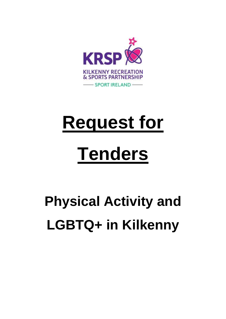

# **Request for**

# **Tenders**

# **Physical Activity and LGBTQ+ in Kilkenny**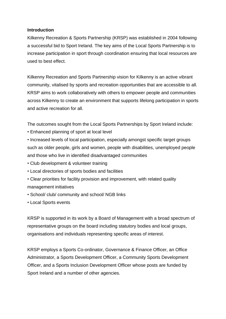#### **Introduction**

Kilkenny Recreation & Sports Partnership (KRSP) was established in 2004 following a successful bid to Sport Ireland. The key aims of the Local Sports Partnership is to increase participation in sport through coordination ensuring that local resources are used to best effect.

Kilkenny Recreation and Sports Partnership vision for Kilkenny is an active vibrant community, vitalised by sports and recreation opportunities that are accessible to all. KRSP aims to work collaboratively with others to empower people and communities across Kilkenny to create an environment that supports lifelong participation in sports and active recreation for all.

The outcomes sought from the Local Sports Partnerships by Sport Ireland include:

• Enhanced planning of sport at local level

• Increased levels of local participation, especially amongst specific target groups such as older people, girls and women, people with disabilities, unemployed people and those who live in identified disadvantaged communities

- Club development & volunteer training
- Local directories of sports bodies and facilities
- Clear priorities for facility provision and improvement, with related quality management initiatives
- School/ club/ community and school/ NGB links
- Local Sports events

KRSP is supported in its work by a Board of Management with a broad spectrum of representative groups on the board including statutory bodies and local groups, organisations and individuals representing specific areas of interest.

KRSP employs a Sports Co-ordinator, Governance & Finance Officer, an Office Administrator, a Sports Development Officer, a Community Sports Development Officer, and a Sports Inclusion Development Officer whose posts are funded by Sport Ireland and a number of other agencies.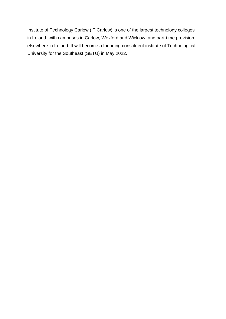Institute of Technology Carlow (IT Carlow) is one of the largest technology colleges in Ireland, with campuses in Carlow, Wexford and Wicklow, and part-time provision elsewhere in Ireland. It will become a founding constituent institute of Technological University for the Southeast (SETU) in May 2022.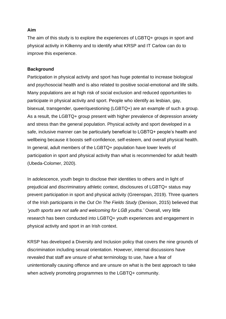#### **Aim**

The aim of this study is to explore the experiences of LGBTQ+ groups in sport and physical activity in Kilkenny and to identify what KRSP and IT Carlow can do to improve this experience.

#### **Background**

Participation in physical activity and sport has huge potential to increase biological and psychosocial health and is also related to positive social-emotional and life skills. Many populations are at high risk of social exclusion and reduced opportunities to participate in physical activity and sport. People who identify as lesbian, gay, bisexual, transgender, queer/questioning (LGBTQ+) are an example of such a group. As a result, the LGBTQ+ group present with higher prevalence of depression anxiety and stress than the general population. Physical activity and sport developed in a safe, inclusive manner can be particularly beneficial to LGBTQ+ people's health and wellbeing because it boosts self-confidence, self-esteem, and overall physical health. In general, adult members of the LGBTQ+ population have lower levels of participation in sport and physical activity than what is recommended for adult health (Ubeda-Colomer, 2020).

In adolescence, youth begin to disclose their identities to others and in light of prejudicial and discriminatory athletic context, disclosures of LGBTQ+ status may prevent participation in sport and physical activity (Greenspan, 2019). Three quarters of the Irish participants in the *Out On The Fields Study* (Denison, 2015) believed that *'youth sports are not safe and welcoming for LGB youths.'* Overall, very little research has been conducted into LGBTQ+ youth experiences and engagement in physical activity and sport in an Irish context.

KRSP has developed a Diversity and Inclusion policy that covers the nine grounds of discrimination including sexual orientation. However, internal discussions have revealed that staff are unsure of what terminology to use, have a fear of unintentionally causing offence and are unsure on what is the best approach to take when actively promoting programmes to the LGBTQ+ community.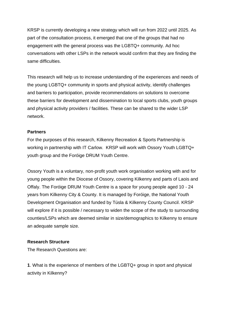KRSP is currently developing a new strategy which will run from 2022 until 2025. As part of the consultation process, it emerged that one of the groups that had no engagement with the general process was the LGBTQ+ community. Ad hoc conversations with other LSPs in the network would confirm that they are finding the same difficulties.

This research will help us to increase understanding of the experiences and needs of the young LGBTQ+ community in sports and physical activity, identify challenges and barriers to participation, provide recommendations on solutions to overcome these barriers for development and dissemination to local sports clubs, youth groups and physical activity providers / facilities. These can be shared to the wider LSP network.

#### **Partners**

For the purposes of this research, Kilkenny Recreation & Sports Partnership is working in partnership with IT Carlow. KRSP will work with Ossory Youth LGBTQ+ youth group and the Foróige DRUM Youth Centre.

Ossory Youth is a voluntary, non-profit youth work organisation working with and for young people within the Diocese of Ossory, covering Kilkenny and parts of Laois and Offaly. The Foróige DRUM Youth Centre is a space for young people aged 10 - 24 years from Kilkenny City & County. It is managed by Foróige, the National Youth Development Organisation and funded by Túsla & Kilkenny County Council. KRSP will explore if it is possible / necessary to widen the scope of the study to surrounding counties/LSPs which are deemed similar in size/demographics to Kilkenny to ensure an adequate sample size.

#### **Research Structure**

The Research Questions are:

**1**. What is the experience of members of the LGBTQ+ group in sport and physical activity in Kilkenny?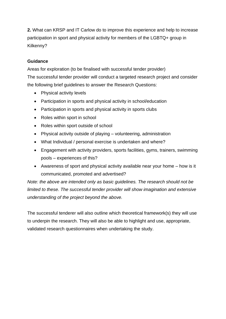**2.** What can KRSP and IT Carlow do to improve this experience and help to increase participation in sport and physical activity for members of the LGBTQ+ group in Kilkenny?

### **Guidance**

Areas for exploration (to be finalised with successful tender provider) The successful tender provider will conduct a targeted research project and consider the following brief guidelines to answer the Research Questions:

- Physical activity levels
- Participation in sports and physical activity in school/education
- Participation in sports and physical activity in sports clubs
- Roles within sport in school
- Roles within sport outside of school
- Physical activity outside of playing volunteering, administration
- What Individual / personal exercise is undertaken and where?
- Engagement with activity providers, sports facilities, gyms, trainers, swimming pools – experiences of this?
- Awareness of sport and physical activity available near your home how is it communicated, promoted and advertised?

*Note: the above are intended only as basic guidelines. The research should not be limited to these. The successful tender provider will show imagination and extensive understanding of the project beyond the above.*

The successful tenderer will also outline which theoretical framework(s) they will use to underpin the research. They will also be able to highlight and use, appropriate, validated research questionnaires when undertaking the study.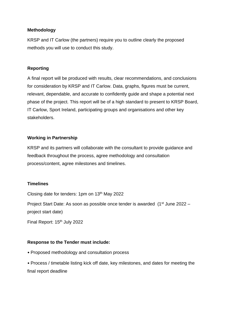#### **Methodology**

KRSP and IT Carlow (the partners) require you to outline clearly the proposed methods you will use to conduct this study.

#### **Reporting**

A final report will be produced with results, clear recommendations, and conclusions for consideration by KRSP and IT Carlow. Data, graphs, figures must be current, relevant, dependable, and accurate to confidently guide and shape a potential next phase of the project. This report will be of a high standard to present to KRSP Board, IT Carlow, Sport Ireland, participating groups and organisations and other key stakeholders.

### **Working in Partnership**

KRSP and its partners will collaborate with the consultant to provide guidance and feedback throughout the process, agree methodology and consultation process/content, agree milestones and timelines.

#### **Timelines**

Closing date for tenders: 1pm on 13th May 2022

Project Start Date: As soon as possible once tender is awarded (1<sup>st</sup> June 2022 – project start date)

Final Report: 15<sup>th</sup> July 2022

#### **Response to the Tender must include:**

• Proposed methodology and consultation process

• Process / timetable listing kick off date, key milestones, and dates for meeting the final report deadline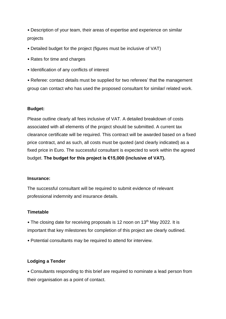• Description of your team, their areas of expertise and experience on similar projects

- Detailed budget for the project (figures must be inclusive of VAT)
- Rates for time and charges
- Identification of any conflicts of interest

• Referee: contact details must be supplied for two referees' that the management group can contact who has used the proposed consultant for similar/ related work.

#### **Budget:**

Please outline clearly all fees inclusive of VAT. A detailed breakdown of costs associated with all elements of the project should be submitted. A current tax clearance certificate will be required. This contract will be awarded based on a fixed price contract, and as such, all costs must be quoted (and clearly indicated) as a fixed price in Euro. The successful consultant is expected to work within the agreed budget. **The budget for this project is €15,000 (inclusive of VAT).**

#### **Insurance:**

The successful consultant will be required to submit evidence of relevant professional indemnity and insurance details.

#### **Timetable**

• The closing date for receiving proposals is 12 noon on 13<sup>th</sup> May 2022. It is important that key milestones for completion of this project are clearly outlined.

• Potential consultants may be required to attend for interview.

#### **Lodging a Tender**

• Consultants responding to this brief are required to nominate a lead person from their organisation as a point of contact.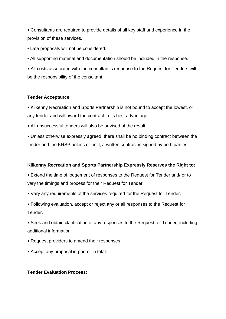• Consultants are required to provide details of all key staff and experience in the provision of these services.

• Late proposals will not be considered.

• All supporting material and documentation should be included in the response.

• All costs associated with the consultant's response to the Request for Tenders will be the responsibility of the consultant.

#### **Tender Acceptance**

• Kilkenny Recreation and Sports Partnership is not bound to accept the lowest, or any tender and will award the contract to its best advantage.

• All unsuccessful tenders will also be advised of the result.

• Unless otherwise expressly agreed, there shall be no binding contract between the tender and the KRSP unless or until, a written contract is signed by both parties.

#### **Kilkenny Recreation and Sports Partnership Expressly Reserves the Right to:**

• Extend the time of lodgement of responses to the Request for Tender and/ or to vary the timings and process for their Request for Tender.

- Vary any requirements of the services required for the Request for Tender.
- Following evaluation, accept or reject any or all responses to the Request for Tender.

• Seek and obtain clarification of any responses to the Request for Tender, including additional information.

- Request providers to amend their responses.
- Accept any proposal in part or in total.

#### **Tender Evaluation Process:**